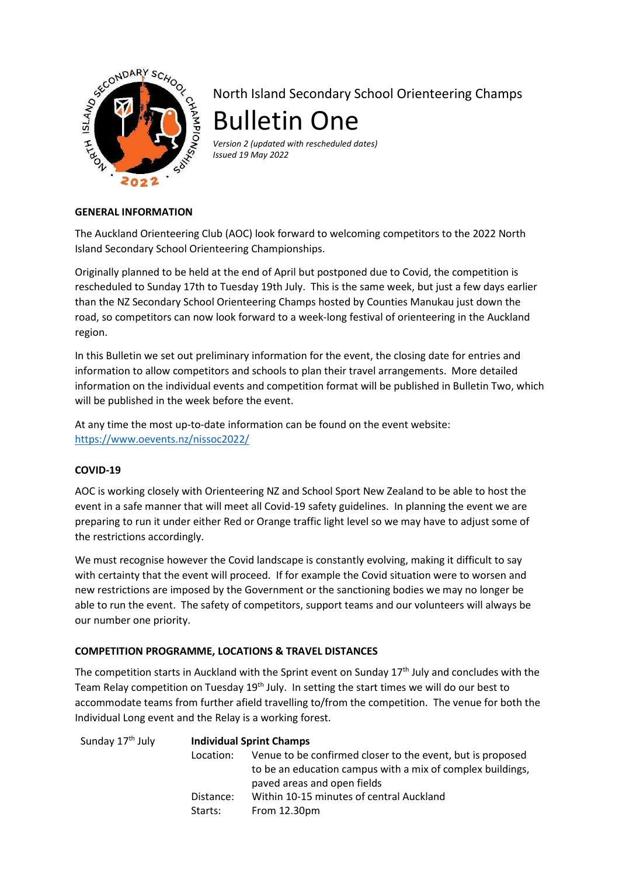

North Island Secondary School Orienteering Champs Bulletin One

*Version 2 (updated with rescheduled dates) Issued 19 May 2022* 

## **GENERAL INFORMATION**

The Auckland Orienteering Club (AOC) look forward to welcoming competitors to the 2022 North Island Secondary School Orienteering Championships.

Originally planned to be held at the end of April but postponed due to Covid, the competition is rescheduled to Sunday 17th to Tuesday 19th July. This is the same week, but just a few days earlier than the NZ Secondary School Orienteering Champs hosted by Counties Manukau just down the road, so competitors can now look forward to a week-long festival of orienteering in the Auckland region.

In this Bulletin we set out preliminary information for the event, the closing date for entries and information to allow competitors and schools to plan their travel arrangements. More detailed information on the individual events and competition format will be published in Bulletin Two, which will be published in the week before the event.

At any time the most up-to-date information can be found on the event website: https://www.oevents.nz/nissoc2022/

## **COVID-19**

AOC is working closely with Orienteering NZ and School Sport New Zealand to be able to host the event in a safe manner that will meet all Covid-19 safety guidelines. In planning the event we are preparing to run it under either Red or Orange traffic light level so we may have to adjust some of the restrictions accordingly.

We must recognise however the Covid landscape is constantly evolving, making it difficult to say with certainty that the event will proceed. If for example the Covid situation were to worsen and new restrictions are imposed by the Government or the sanctioning bodies we may no longer be able to run the event. The safety of competitors, support teams and our volunteers will always be our number one priority.

## **COMPETITION PROGRAMME, LOCATIONS & TRAVEL DISTANCES**

The competition starts in Auckland with the Sprint event on Sunday  $17<sup>th</sup>$  July and concludes with the Team Relay competition on Tuesday  $19<sup>th</sup>$  July. In setting the start times we will do our best to accommodate teams from further afield travelling to/from the competition. The venue for both the Individual Long event and the Relay is a working forest.

| Sunday 17 <sup>th</sup> July | <b>Individual Sprint Champs</b> |                                                                                                                                                         |  |
|------------------------------|---------------------------------|---------------------------------------------------------------------------------------------------------------------------------------------------------|--|
|                              | Location:                       | Venue to be confirmed closer to the event, but is proposed<br>to be an education campus with a mix of complex buildings,<br>paved areas and open fields |  |
|                              | Distance:<br>Starts:            | Within 10-15 minutes of central Auckland<br>From 12.30pm                                                                                                |  |